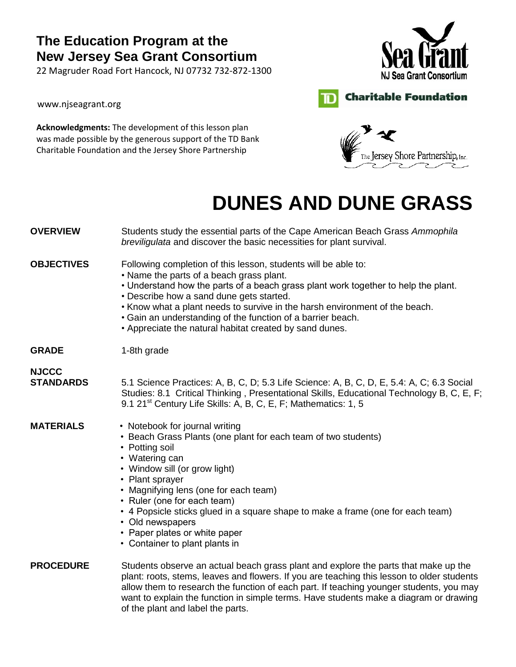## **The Education Program at the New Jersey Sea Grant Consortium**

22 Magruder Road Fort Hancock, NJ 07732 732‐872‐1300

www.njseagrant.org

**Acknowledgments:** The development of this lesson plan was made possible by the generous support of the TD Bank Charitable Foundation and the Jersey Shore Partnership





**Charitable Foundation** 

# **DUNES AND DUNE GRASS**

-ID

| <b>OVERVIEW</b>                  | Students study the essential parts of the Cape American Beach Grass Ammophila<br>breviligulata and discover the basic necessities for plant survival.                                                                                                                                                                                                                                                                                                 |  |  |
|----------------------------------|-------------------------------------------------------------------------------------------------------------------------------------------------------------------------------------------------------------------------------------------------------------------------------------------------------------------------------------------------------------------------------------------------------------------------------------------------------|--|--|
| <b>OBJECTIVES</b>                | Following completion of this lesson, students will be able to:<br>• Name the parts of a beach grass plant.<br>. Understand how the parts of a beach grass plant work together to help the plant.<br>• Describe how a sand dune gets started.<br>. Know what a plant needs to survive in the harsh environment of the beach.<br>• Gain an understanding of the function of a barrier beach.<br>• Appreciate the natural habitat created by sand dunes. |  |  |
| <b>GRADE</b>                     | 1-8th grade                                                                                                                                                                                                                                                                                                                                                                                                                                           |  |  |
| <b>NJCCC</b><br><b>STANDARDS</b> | 5.1 Science Practices: A, B, C, D; 5.3 Life Science: A, B, C, D, E, 5.4: A, C; 6.3 Social<br>Studies: 8.1 Critical Thinking, Presentational Skills, Educational Technology B, C, E, F;<br>9.1 21 <sup>st</sup> Century Life Skills: A, B, C, E, F; Mathematics: 1, 5                                                                                                                                                                                  |  |  |
| <b>MATERIALS</b>                 | • Notebook for journal writing<br>• Beach Grass Plants (one plant for each team of two students)<br>• Potting soil<br>• Watering can<br>• Window sill (or grow light)<br>• Plant sprayer<br>• Magnifying lens (one for each team)<br>• Ruler (one for each team)<br>• 4 Popsicle sticks glued in a square shape to make a frame (one for each team)<br>• Old newspapers<br>• Paper plates or white paper<br>• Container to plant plants in            |  |  |
| <b>PROCEDURE</b>                 | Students observe an actual beach grass plant and explore the parts that make up the<br>plant: roots, stems, leaves and flowers. If you are teaching this lesson to older students<br>allow them to research the function of each part. If teaching younger students, you may<br>want to explain the function in simple terms. Have students make a diagram or drawing<br>of the plant and label the parts.                                            |  |  |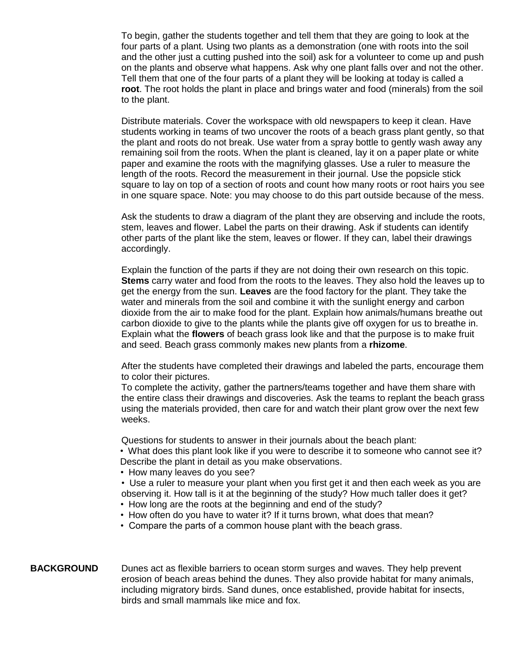To begin, gather the students together and tell them that they are going to look at the four parts of a plant. Using two plants as a demonstration (one with roots into the soil and the other just a cutting pushed into the soil) ask for a volunteer to come up and push on the plants and observe what happens. Ask why one plant falls over and not the other. Tell them that one of the four parts of a plant they will be looking at today is called a **root**. The root holds the plant in place and brings water and food (minerals) from the soil to the plant.

Distribute materials. Cover the workspace with old newspapers to keep it clean. Have students working in teams of two uncover the roots of a beach grass plant gently, so that the plant and roots do not break. Use water from a spray bottle to gently wash away any remaining soil from the roots. When the plant is cleaned, lay it on a paper plate or white paper and examine the roots with the magnifying glasses. Use a ruler to measure the length of the roots. Record the measurement in their journal. Use the popsicle stick square to lay on top of a section of roots and count how many roots or root hairs you see in one square space. Note: you may choose to do this part outside because of the mess.

Ask the students to draw a diagram of the plant they are observing and include the roots, stem, leaves and flower. Label the parts on their drawing. Ask if students can identify other parts of the plant like the stem, leaves or flower. If they can, label their drawings accordingly.

Explain the function of the parts if they are not doing their own research on this topic. **Stems** carry water and food from the roots to the leaves. They also hold the leaves up to get the energy from the sun. **Leaves** are the food factory for the plant. They take the water and minerals from the soil and combine it with the sunlight energy and carbon dioxide from the air to make food for the plant. Explain how animals/humans breathe out carbon dioxide to give to the plants while the plants give off oxygen for us to breathe in. Explain what the **flowers** of beach grass look like and that the purpose is to make fruit and seed. Beach grass commonly makes new plants from a **rhizome**.

After the students have completed their drawings and labeled the parts, encourage them to color their pictures.

To complete the activity, gather the partners/teams together and have them share with the entire class their drawings and discoveries. Ask the teams to replant the beach grass using the materials provided, then care for and watch their plant grow over the next few weeks.

Questions for students to answer in their journals about the beach plant:

• What does this plant look like if you were to describe it to someone who cannot see it? Describe the plant in detail as you make observations.

- How many leaves do you see?
- Use a ruler to measure your plant when you first get it and then each week as you are observing it. How tall is it at the beginning of the study? How much taller does it get?
- How long are the roots at the beginning and end of the study?
- How often do you have to water it? If it turns brown, what does that mean?
- Compare the parts of a common house plant with the beach grass.

#### **BACKGROUND** Dunes act as flexible barriers to ocean storm surges and waves. They help prevent erosion of beach areas behind the dunes. They also provide habitat for many animals, including migratory birds. Sand dunes, once established, provide habitat for insects, birds and small mammals like mice and fox.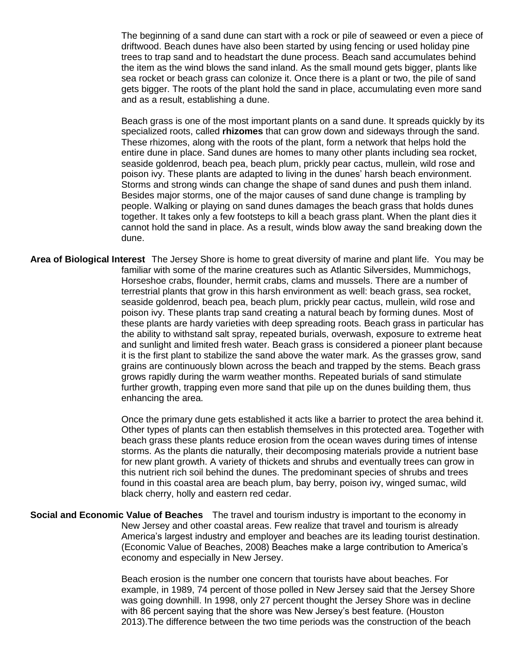The beginning of a sand dune can start with a rock or pile of seaweed or even a piece of driftwood. Beach dunes have also been started by using fencing or used holiday pine trees to trap sand and to headstart the dune process. Beach sand accumulates behind the item as the wind blows the sand inland. As the small mound gets bigger, plants like sea rocket or beach grass can colonize it. Once there is a plant or two, the pile of sand gets bigger. The roots of the plant hold the sand in place, accumulating even more sand and as a result, establishing a dune.

Beach grass is one of the most important plants on a sand dune. It spreads quickly by its specialized roots, called **rhizomes** that can grow down and sideways through the sand. These rhizomes, along with the roots of the plant, form a network that helps hold the entire dune in place. Sand dunes are homes to many other plants including sea rocket, seaside goldenrod, beach pea, beach plum, prickly pear cactus, mullein, wild rose and poison ivy. These plants are adapted to living in the dunes' harsh beach environment. Storms and strong winds can change the shape of sand dunes and push them inland. Besides major storms, one of the major causes of sand dune change is trampling by people. Walking or playing on sand dunes damages the beach grass that holds dunes together. It takes only a few footsteps to kill a beach grass plant. When the plant dies it cannot hold the sand in place. As a result, winds blow away the sand breaking down the dune.

**Area of Biological Interest** The Jersey Shore is home to great diversity of marine and plant life. You may be familiar with some of the marine creatures such as Atlantic Silversides, Mummichogs, Horseshoe crabs, flounder, hermit crabs, clams and mussels. There are a number of terrestrial plants that grow in this harsh environment as well: beach grass, sea rocket, seaside goldenrod, beach pea, beach plum, prickly pear cactus, mullein, wild rose and poison ivy. These plants trap sand creating a natural beach by forming dunes. Most of these plants are hardy varieties with deep spreading roots. Beach grass in particular has the ability to withstand salt spray, repeated burials, overwash, exposure to extreme heat and sunlight and limited fresh water. Beach grass is considered a pioneer plant because it is the first plant to stabilize the sand above the water mark. As the grasses grow, sand grains are continuously blown across the beach and trapped by the stems. Beach grass grows rapidly during the warm weather months. Repeated burials of sand stimulate further growth, trapping even more sand that pile up on the dunes building them, thus enhancing the area.

> Once the primary dune gets established it acts like a barrier to protect the area behind it. Other types of plants can then establish themselves in this protected area. Together with beach grass these plants reduce erosion from the ocean waves during times of intense storms. As the plants die naturally, their decomposing materials provide a nutrient base for new plant growth. A variety of thickets and shrubs and eventually trees can grow in this nutrient rich soil behind the dunes. The predominant species of shrubs and trees found in this coastal area are beach plum, bay berry, poison ivy, winged sumac, wild black cherry, holly and eastern red cedar.

**Social and Economic Value of Beaches** The travel and tourism industry is important to the economy in New Jersey and other coastal areas. Few realize that travel and tourism is already America's largest industry and employer and beaches are its leading tourist destination. (Economic Value of Beaches, 2008) Beaches make a large contribution to America's economy and especially in New Jersey.

> Beach erosion is the number one concern that tourists have about beaches. For example, in 1989, 74 percent of those polled in New Jersey said that the Jersey Shore was going downhill. In 1998, only 27 percent thought the Jersey Shore was in decline with 86 percent saying that the shore was New Jersey's best feature. (Houston 2013).The difference between the two time periods was the construction of the beach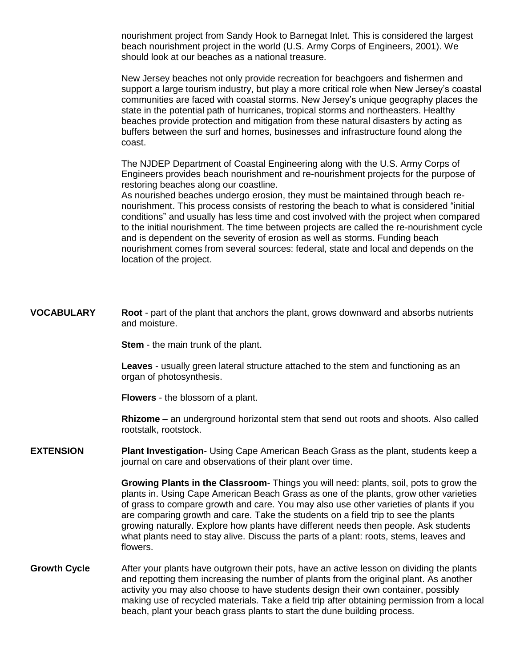nourishment project from Sandy Hook to Barnegat Inlet. This is considered the largest beach nourishment project in the world (U.S. Army Corps of Engineers, 2001). We should look at our beaches as a national treasure.

New Jersey beaches not only provide recreation for beachgoers and fishermen and support a large tourism industry, but play a more critical role when New Jersey's coastal communities are faced with coastal storms. New Jersey's unique geography places the state in the potential path of hurricanes, tropical storms and northeasters. Healthy beaches provide protection and mitigation from these natural disasters by acting as buffers between the surf and homes, businesses and infrastructure found along the coast.

The NJDEP Department of Coastal Engineering along with the U.S. Army Corps of Engineers provides beach nourishment and re-nourishment projects for the purpose of restoring beaches along our coastline.

As nourished beaches undergo erosion, they must be maintained through beach renourishment. This process consists of restoring the beach to what is considered "initial conditions" and usually has less time and cost involved with the project when compared to the initial nourishment. The time between projects are called the re-nourishment cycle and is dependent on the severity of erosion as well as storms. Funding beach nourishment comes from several sources: federal, state and local and depends on the location of the project.

**VOCABULARY Root** - part of the plant that anchors the plant, grows downward and absorbs nutrients and moisture.

**Stem** - the main trunk of the plant.

**Leaves** - usually green lateral structure attached to the stem and functioning as an organ of photosynthesis.

**Flowers** - the blossom of a plant.

**Rhizome** – an underground horizontal stem that send out roots and shoots. Also called rootstalk, rootstock.

**EXTENSION Plant Investigation**- Using Cape American Beach Grass as the plant, students keep a journal on care and observations of their plant over time.

> **Growing Plants in the Classroom**- Things you will need: plants, soil, pots to grow the plants in. Using Cape American Beach Grass as one of the plants, grow other varieties of grass to compare growth and care. You may also use other varieties of plants if you are comparing growth and care. Take the students on a field trip to see the plants growing naturally. Explore how plants have different needs then people. Ask students what plants need to stay alive. Discuss the parts of a plant: roots, stems, leaves and flowers.

**Growth Cycle** After your plants have outgrown their pots, have an active lesson on dividing the plants and repotting them increasing the number of plants from the original plant. As another activity you may also choose to have students design their own container, possibly making use of recycled materials. Take a field trip after obtaining permission from a local beach, plant your beach grass plants to start the dune building process.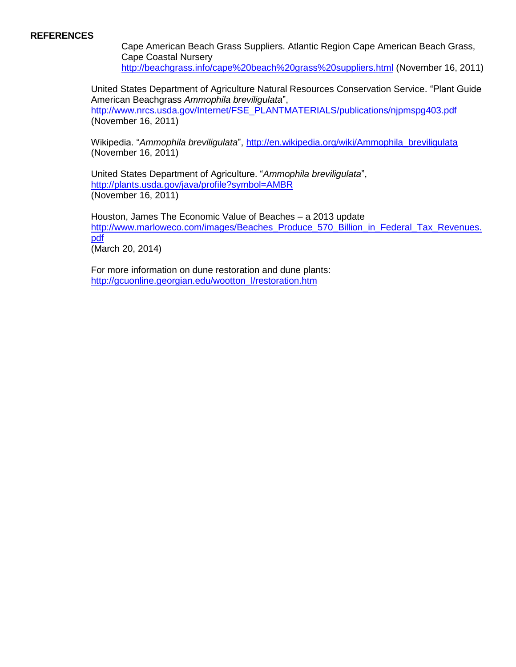#### **REFERENCES**

Cape American Beach Grass Suppliers. Atlantic Region Cape American Beach Grass, Cape Coastal Nursery <http://beachgrass.info/cape%20beach%20grass%20suppliers.html> (November 16, 2011)

United States Department of Agriculture Natural Resources Conservation Service. "Plant Guide American Beachgrass *Ammophila breviligulata*", [http://www.nrcs.usda.gov/Internet/FSE\\_PLANTMATERIALS/publications/njpmspg403.pdf](http://www.nrcs.usda.gov/Internet/FSE_PLANTMATERIALS/publications/njpmspg403.pdf) (November 16, 2011)

Wikipedia. "*Ammophila breviligulata*", [http://en.wikipedia.org/wiki/Ammophila\\_breviligulata](http://en.wikipedia.org/wiki/Ammophila_breviligulata) (November 16, 2011)

United States Department of Agriculture. "*Ammophila breviligulata*", <http://plants.usda.gov/java/profile?symbol=AMBR> (November 16, 2011)

Houston, James The Economic Value of Beaches – a 2013 update [http://www.marloweco.com/images/Beaches\\_Produce\\_570\\_Billion\\_in\\_Federal\\_Tax\\_Revenues.](http://www.marloweco.com/images/Beaches_Produce_570_Billion_in_Federal_Tax_Revenues.pdf) [pdf](http://www.marloweco.com/images/Beaches_Produce_570_Billion_in_Federal_Tax_Revenues.pdf) (March 20, 2014)

For more information on dune restoration and dune plants: [http://gcuonline.georgian.edu/wootton\\_l/restoration.htm](http://gcuonline.georgian.edu/wootton_l/restoration.htm)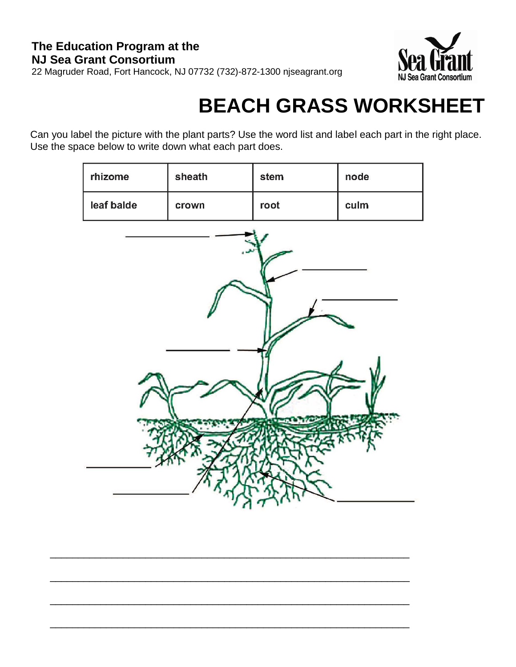

# **BEACH GRASS WORKSHEET**

Can you label the picture with the plant parts? Use the word list and label each part in the right place. Use the space below to write down what each part does.

| rhizome    | sheath | stem | node |  |
|------------|--------|------|------|--|
| leaf balde | crown  | root | culm |  |
|            |        |      |      |  |
|            |        |      |      |  |

 $\overline{\phantom{a}}$  , and the contribution of the contribution of the contribution of the contribution of the contribution of the contribution of the contribution of the contribution of the contribution of the contribution of the

\_\_\_\_\_\_\_\_\_\_\_\_\_\_\_\_\_\_\_\_\_\_\_\_\_\_\_\_\_\_\_\_\_\_\_\_\_\_\_\_\_\_\_\_\_\_\_\_\_\_\_\_\_\_\_\_\_\_\_\_\_\_\_\_

 $\overline{\phantom{a}}$  , and the contribution of the contribution of the contribution of the contribution of the contribution of the contribution of the contribution of the contribution of the contribution of the contribution of the

\_\_\_\_\_\_\_\_\_\_\_\_\_\_\_\_\_\_\_\_\_\_\_\_\_\_\_\_\_\_\_\_\_\_\_\_\_\_\_\_\_\_\_\_\_\_\_\_\_\_\_\_\_\_\_\_\_\_\_\_\_\_\_\_